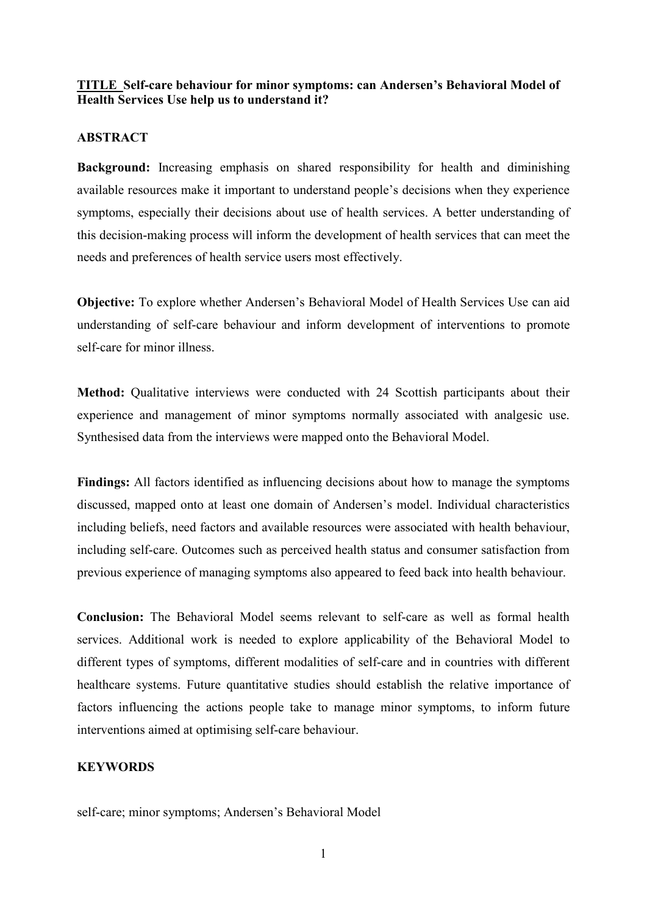## **TITLE Self-care behaviour for minor symptoms: can Andersen's Behavioral Model of Health Services Use help us to understand it?**

#### **ABSTRACT**

**Background:** Increasing emphasis on shared responsibility for health and diminishing available resources make it important to understand people's decisions when they experience symptoms, especially their decisions about use of health services. A better understanding of this decision-making process will inform the development of health services that can meet the needs and preferences of health service users most effectively.

**Objective:** To explore whether Andersen's Behavioral Model of Health Services Use can aid understanding of self-care behaviour and inform development of interventions to promote self-care for minor illness.

**Method:** Qualitative interviews were conducted with 24 Scottish participants about their experience and management of minor symptoms normally associated with analgesic use. Synthesised data from the interviews were mapped onto the Behavioral Model.

**Findings:** All factors identified as influencing decisions about how to manage the symptoms discussed, mapped onto at least one domain of Andersen's model. Individual characteristics including beliefs, need factors and available resources were associated with health behaviour, including self-care. Outcomes such as perceived health status and consumer satisfaction from previous experience of managing symptoms also appeared to feed back into health behaviour.

**Conclusion:** The Behavioral Model seems relevant to self-care as well as formal health services. Additional work is needed to explore applicability of the Behavioral Model to different types of symptoms, different modalities of self-care and in countries with different healthcare systems. Future quantitative studies should establish the relative importance of factors influencing the actions people take to manage minor symptoms, to inform future interventions aimed at optimising self-care behaviour.

## **KEYWORDS**

self-care; minor symptoms; Andersen's Behavioral Model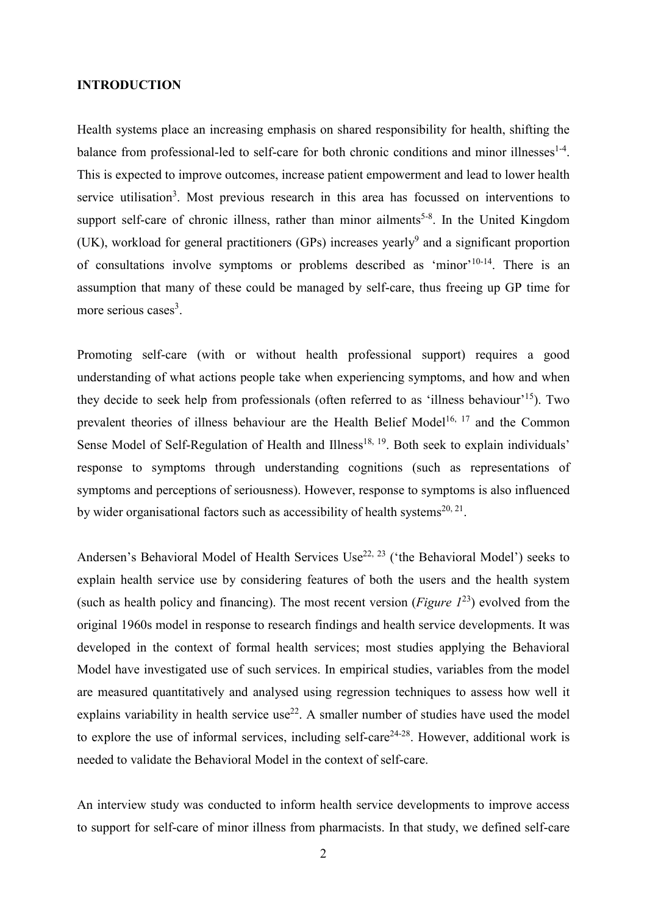#### **INTRODUCTION**

Health systems place an increasing emphasis on shared responsibility for health, shifting the balance from professional-led to self-care for both chronic conditions and minor illnesses $1-4$ . This is expected to improve outcomes, increase patient empowerment and lead to lower health service utilisation<sup>3</sup>. Most previous research in this area has focussed on interventions to support self-care of chronic illness, rather than minor ailments<sup>5-8</sup>. In the United Kingdom (UK), workload for general practitioners (GPs) increases yearly<sup>9</sup> and a significant proportion of consultations involve symptoms or problems described as 'minor'<sup>10-14</sup>. There is an assumption that many of these could be managed by self-care, thus freeing up GP time for more serious cases<sup>3</sup>.

Promoting self-care (with or without health professional support) requires a good understanding of what actions people take when experiencing symptoms, and how and when they decide to seek help from professionals (often referred to as 'illness behaviour'15). Two prevalent theories of illness behaviour are the Health Belief Model<sup>16, 17</sup> and the Common Sense Model of Self-Regulation of Health and Illness<sup>18, 19</sup>. Both seek to explain individuals' response to symptoms through understanding cognitions (such as representations of symptoms and perceptions of seriousness). However, response to symptoms is also influenced by wider organisational factors such as accessibility of health systems<sup>20, 21</sup>.

Andersen's Behavioral Model of Health Services Use<sup>22, 23</sup> ('the Behavioral Model') seeks to explain health service use by considering features of both the users and the health system (such as health policy and financing). The most recent version (*Figure 1*23) evolved from the original 1960s model in response to research findings and health service developments. It was developed in the context of formal health services; most studies applying the Behavioral Model have investigated use of such services. In empirical studies, variables from the model are measured quantitatively and analysed using regression techniques to assess how well it explains variability in health service use<sup>22</sup>. A smaller number of studies have used the model to explore the use of informal services, including self-care<sup>24-28</sup>. However, additional work is needed to validate the Behavioral Model in the context of self-care.

An interview study was conducted to inform health service developments to improve access to support for self-care of minor illness from pharmacists. In that study, we defined self-care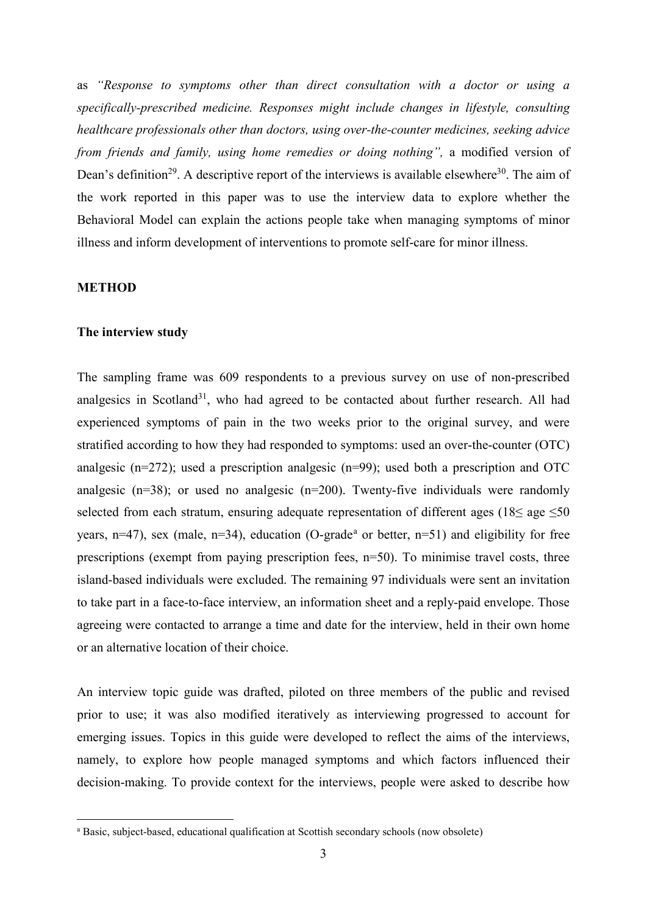as *"Response to symptoms other than direct consultation with a doctor or using a specifically-prescribed medicine. Responses might include changes in lifestyle, consulting healthcare professionals other than doctors, using over-the-counter medicines, seeking advice from friends and family, using home remedies or doing nothing",* a modified version of Dean's definition<sup>29</sup>. A descriptive report of the interviews is available elsewhere<sup>30</sup>. The aim of the work reported in this paper was to use the interview data to explore whether the Behavioral Model can explain the actions people take when managing symptoms of minor illness and inform development of interventions to promote self-care for minor illness.

#### **METHOD**

#### **The interview study**

The sampling frame was 609 respondents to a previous survey on use of non-prescribed analgesics in Scotland<sup>31</sup>, who had agreed to be contacted about further research. All had experienced symptoms of pain in the two weeks prior to the original survey, and were stratified according to how they had responded to symptoms: used an over-the-counter (OTC) analgesic (n=272); used a prescription analgesic (n=99); used both a prescription and OTC analgesic ( $n=38$ ); or used no analgesic ( $n=200$ ). Twenty-five individuals were randomly selected from each stratum, ensuring adequate representation of different ages ( $18\le$  age  $\le$ 50 ye[a](#page-2-0)rs,  $n=47$ ), sex (male,  $n=34$ ), education (O-grade<sup>a</sup> or better,  $n=51$ ) and eligibility for free prescriptions (exempt from paying prescription fees, n=50). To minimise travel costs, three island-based individuals were excluded. The remaining 97 individuals were sent an invitation to take part in a face-to-face interview, an information sheet and a reply-paid envelope. Those agreeing were contacted to arrange a time and date for the interview, held in their own home or an alternative location of their choice.

An interview topic guide was drafted, piloted on three members of the public and revised prior to use; it was also modified iteratively as interviewing progressed to account for emerging issues. Topics in this guide were developed to reflect the aims of the interviews, namely, to explore how people managed symptoms and which factors influenced their decision-making. To provide context for the interviews, people were asked to describe how

<span id="page-2-0"></span>a Basic, subject-based, educational qualification at Scottish secondary schools (now obsolete)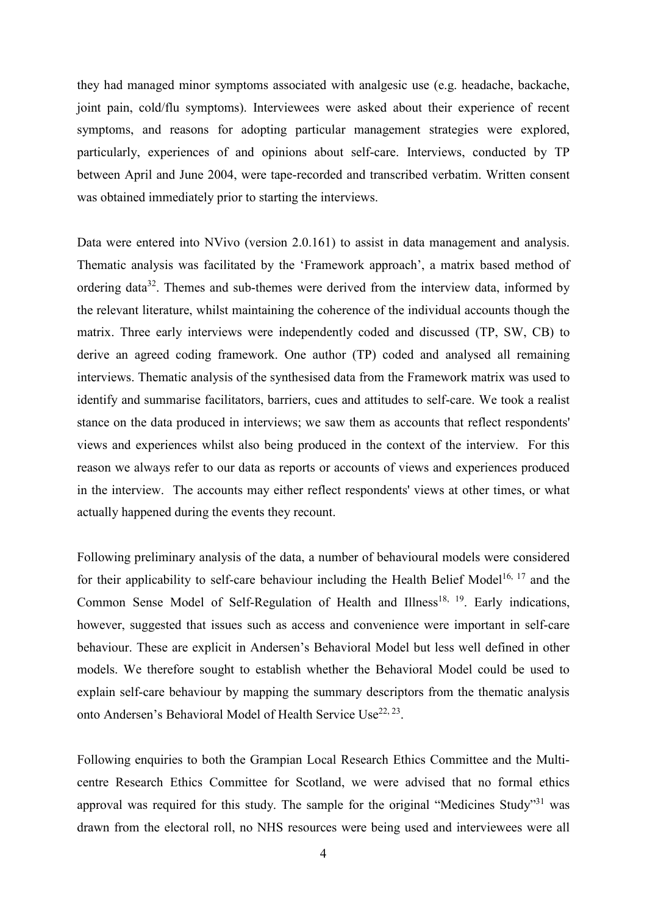they had managed minor symptoms associated with analgesic use (e.g. headache, backache, joint pain, cold/flu symptoms). Interviewees were asked about their experience of recent symptoms, and reasons for adopting particular management strategies were explored, particularly, experiences of and opinions about self-care. Interviews, conducted by TP between April and June 2004, were tape-recorded and transcribed verbatim. Written consent was obtained immediately prior to starting the interviews.

Data were entered into NVivo (version 2.0.161) to assist in data management and analysis. Thematic analysis was facilitated by the 'Framework approach', a matrix based method of ordering data<sup>32</sup>. Themes and sub-themes were derived from the interview data, informed by the relevant literature, whilst maintaining the coherence of the individual accounts though the matrix. Three early interviews were independently coded and discussed (TP, SW, CB) to derive an agreed coding framework. One author (TP) coded and analysed all remaining interviews. Thematic analysis of the synthesised data from the Framework matrix was used to identify and summarise facilitators, barriers, cues and attitudes to self-care. We took a realist stance on the data produced in interviews; we saw them as accounts that reflect respondents' views and experiences whilst also being produced in the context of the interview. For this reason we always refer to our data as reports or accounts of views and experiences produced in the interview. The accounts may either reflect respondents' views at other times, or what actually happened during the events they recount.

Following preliminary analysis of the data, a number of behavioural models were considered for their applicability to self-care behaviour including the Health Belief Model<sup>16, 17</sup> and the Common Sense Model of Self-Regulation of Health and Illness<sup>18, 19</sup>. Early indications, however, suggested that issues such as access and convenience were important in self-care behaviour. These are explicit in Andersen's Behavioral Model but less well defined in other models. We therefore sought to establish whether the Behavioral Model could be used to explain self-care behaviour by mapping the summary descriptors from the thematic analysis onto Andersen's Behavioral Model of Health Service Use<sup>22, 23</sup>.

Following enquiries to both the Grampian Local Research Ethics Committee and the Multicentre Research Ethics Committee for Scotland, we were advised that no formal ethics approval was required for this study. The sample for the original "Medicines Study"<sup>31</sup> was drawn from the electoral roll, no NHS resources were being used and interviewees were all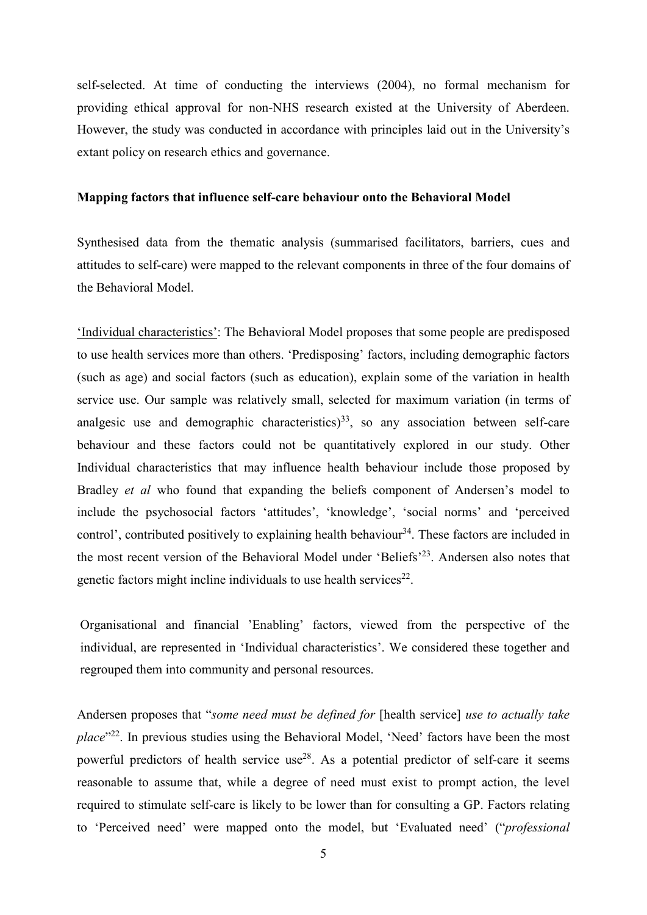self-selected. At time of conducting the interviews (2004), no formal mechanism for providing ethical approval for non-NHS research existed at the University of Aberdeen. However, the study was conducted in accordance with principles laid out in the University's extant policy on research ethics and governance.

#### **Mapping factors that influence self-care behaviour onto the Behavioral Model**

Synthesised data from the thematic analysis (summarised facilitators, barriers, cues and attitudes to self-care) were mapped to the relevant components in three of the four domains of the Behavioral Model.

'Individual characteristics': The Behavioral Model proposes that some people are predisposed to use health services more than others. 'Predisposing' factors, including demographic factors (such as age) and social factors (such as education), explain some of the variation in health service use. Our sample was relatively small, selected for maximum variation (in terms of analgesic use and demographic characteristics)<sup>33</sup>, so any association between self-care behaviour and these factors could not be quantitatively explored in our study. Other Individual characteristics that may influence health behaviour include those proposed by Bradley *et al* who found that expanding the beliefs component of Andersen's model to include the psychosocial factors 'attitudes', 'knowledge', 'social norms' and 'perceived control', contributed positively to explaining health behaviour<sup>34</sup>. These factors are included in the most recent version of the Behavioral Model under 'Beliefs'23. Andersen also notes that genetic factors might incline individuals to use health services<sup>22</sup>.

Organisational and financial 'Enabling' factors, viewed from the perspective of the individual, are represented in 'Individual characteristics'. We considered these together and regrouped them into community and personal resources.

Andersen proposes that "*some need must be defined for* [health service] *use to actually take place*"<sup>22</sup>. In previous studies using the Behavioral Model, 'Need' factors have been the most powerful predictors of health service use<sup>28</sup>. As a potential predictor of self-care it seems reasonable to assume that, while a degree of need must exist to prompt action, the level required to stimulate self-care is likely to be lower than for consulting a GP. Factors relating to 'Perceived need' were mapped onto the model, but 'Evaluated need' ("*professional*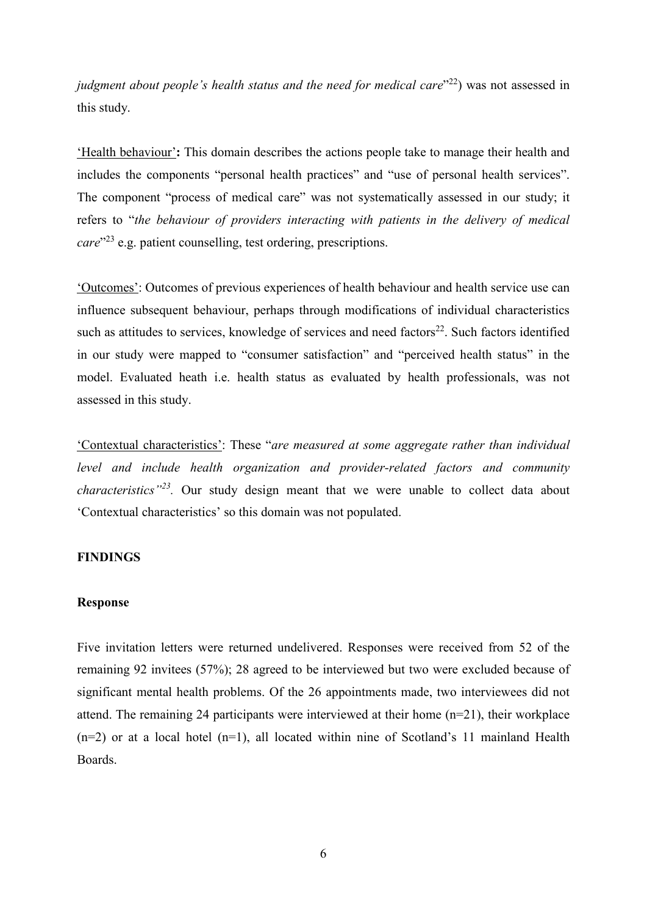*judgment about people's health status and the need for medical care*<sup>"22</sup>) was not assessed in this study.

'Health behaviour'**:** This domain describes the actions people take to manage their health and includes the components "personal health practices" and "use of personal health services". The component "process of medical care" was not systematically assessed in our study; it refers to "*the behaviour of providers interacting with patients in the delivery of medical care*"23 e.g. patient counselling, test ordering, prescriptions.

'Outcomes': Outcomes of previous experiences of health behaviour and health service use can influence subsequent behaviour, perhaps through modifications of individual characteristics such as attitudes to services, knowledge of services and need factors<sup>22</sup>. Such factors identified in our study were mapped to "consumer satisfaction" and "perceived health status" in the model. Evaluated heath i.e. health status as evaluated by health professionals, was not assessed in this study.

'Contextual characteristics': These "*are measured at some aggregate rather than individual level and include health organization and provider-related factors and community characteristics"23.* Our study design meant that we were unable to collect data about 'Contextual characteristics' so this domain was not populated.

#### **FINDINGS**

#### **Response**

Five invitation letters were returned undelivered. Responses were received from 52 of the remaining 92 invitees (57%); 28 agreed to be interviewed but two were excluded because of significant mental health problems. Of the 26 appointments made, two interviewees did not attend. The remaining 24 participants were interviewed at their home (n=21), their workplace  $(n=2)$  or at a local hotel  $(n=1)$ , all located within nine of Scotland's 11 mainland Health Boards.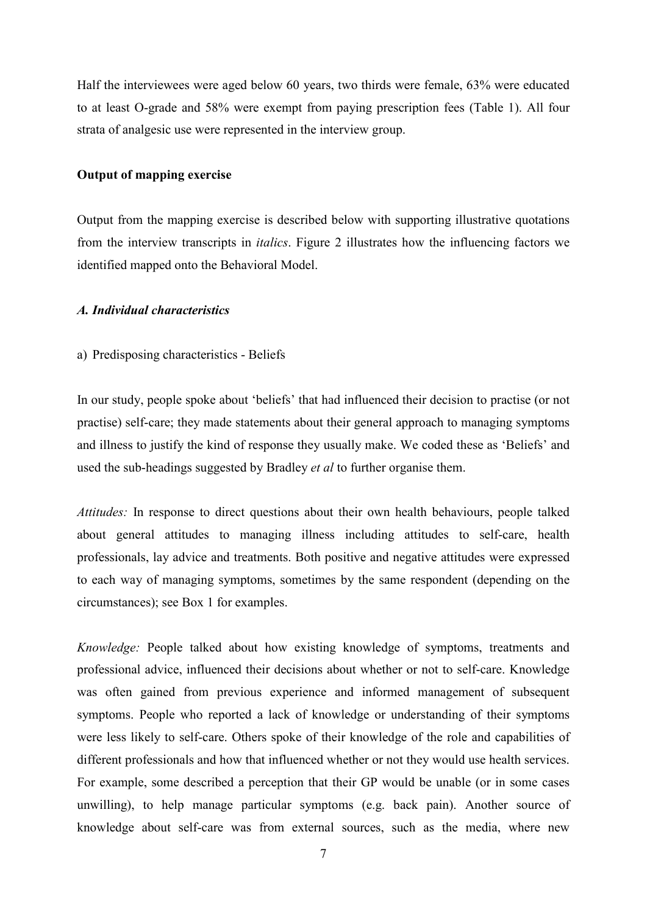Half the interviewees were aged below 60 years, two thirds were female, 63% were educated to at least O-grade and 58% were exempt from paying prescription fees (Table 1). All four strata of analgesic use were represented in the interview group.

#### **Output of mapping exercise**

Output from the mapping exercise is described below with supporting illustrative quotations from the interview transcripts in *italics*. Figure 2 illustrates how the influencing factors we identified mapped onto the Behavioral Model.

#### *A. Individual characteristics*

#### a) Predisposing characteristics - Beliefs

In our study, people spoke about 'beliefs' that had influenced their decision to practise (or not practise) self-care; they made statements about their general approach to managing symptoms and illness to justify the kind of response they usually make. We coded these as 'Beliefs' and used the sub-headings suggested by Bradley *et al* to further organise them.

*Attitudes:* In response to direct questions about their own health behaviours, people talked about general attitudes to managing illness including attitudes to self-care, health professionals, lay advice and treatments. Both positive and negative attitudes were expressed to each way of managing symptoms, sometimes by the same respondent (depending on the circumstances); see Box 1 for examples.

*Knowledge:* People talked about how existing knowledge of symptoms, treatments and professional advice, influenced their decisions about whether or not to self-care. Knowledge was often gained from previous experience and informed management of subsequent symptoms. People who reported a lack of knowledge or understanding of their symptoms were less likely to self-care. Others spoke of their knowledge of the role and capabilities of different professionals and how that influenced whether or not they would use health services. For example, some described a perception that their GP would be unable (or in some cases unwilling), to help manage particular symptoms (e.g. back pain). Another source of knowledge about self-care was from external sources, such as the media, where new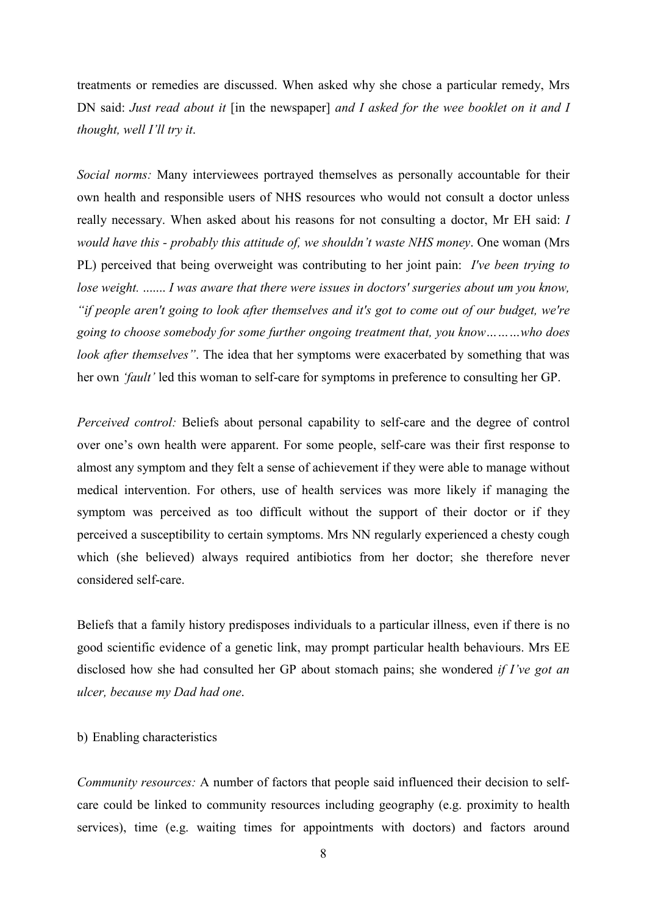treatments or remedies are discussed. When asked why she chose a particular remedy, Mrs DN said: *Just read about it* [in the newspaper] *and I asked for the wee booklet on it and I thought, well I'll try it*.

*Social norms:* Many interviewees portrayed themselves as personally accountable for their own health and responsible users of NHS resources who would not consult a doctor unless really necessary. When asked about his reasons for not consulting a doctor, Mr EH said: *I would have this - probably this attitude of, we shouldn't waste NHS money*. One woman (Mrs PL) perceived that being overweight was contributing to her joint pain: *I've been trying to lose weight.* ....... *I was aware that there were issues in doctors' surgeries about um you know, "if people aren't going to look after themselves and it's got to come out of our budget, we're going to choose somebody for some further ongoing treatment that, you know………who does look after themselves"*. The idea that her symptoms were exacerbated by something that was her own *'fault'* led this woman to self-care for symptoms in preference to consulting her GP.

*Perceived control:* Beliefs about personal capability to self-care and the degree of control over one's own health were apparent. For some people, self-care was their first response to almost any symptom and they felt a sense of achievement if they were able to manage without medical intervention. For others, use of health services was more likely if managing the symptom was perceived as too difficult without the support of their doctor or if they perceived a susceptibility to certain symptoms. Mrs NN regularly experienced a chesty cough which (she believed) always required antibiotics from her doctor; she therefore never considered self-care.

Beliefs that a family history predisposes individuals to a particular illness, even if there is no good scientific evidence of a genetic link, may prompt particular health behaviours. Mrs EE disclosed how she had consulted her GP about stomach pains; she wondered *if I've got an ulcer, because my Dad had one*.

#### b) Enabling characteristics

*Community resources:* A number of factors that people said influenced their decision to selfcare could be linked to community resources including geography (e.g. proximity to health services), time (e.g. waiting times for appointments with doctors) and factors around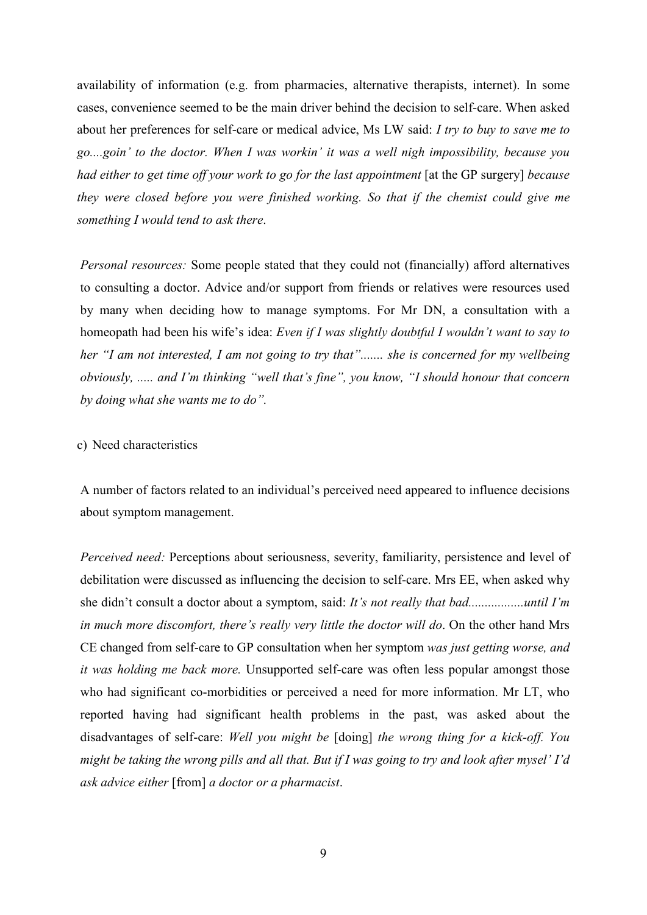availability of information (e.g. from pharmacies, alternative therapists, internet). In some cases, convenience seemed to be the main driver behind the decision to self-care. When asked about her preferences for self-care or medical advice, Ms LW said: *I try to buy to save me to go....goin' to the doctor. When I was workin' it was a well nigh impossibility, because you had either to get time off your work to go for the last appointment* [at the GP surgery] *because they were closed before you were finished working. So that if the chemist could give me something I would tend to ask there*.

*Personal resources:* Some people stated that they could not (financially) afford alternatives to consulting a doctor. Advice and/or support from friends or relatives were resources used by many when deciding how to manage symptoms. For Mr DN, a consultation with a homeopath had been his wife's idea: *Even if I was slightly doubtful I wouldn't want to say to her "I am not interested, I am not going to try that"....... she is concerned for my wellbeing obviously, ..... and I'm thinking "well that's fine", you know, "I should honour that concern by doing what she wants me to do".*

#### c) Need characteristics

A number of factors related to an individual's perceived need appeared to influence decisions about symptom management.

*Perceived need:* Perceptions about seriousness, severity, familiarity, persistence and level of debilitation were discussed as influencing the decision to self-care. Mrs EE, when asked why she didn't consult a doctor about a symptom, said: *It's not really that bad.................until I'm in much more discomfort, there's really very little the doctor will do*. On the other hand Mrs CE changed from self-care to GP consultation when her symptom *was just getting worse, and it was holding me back more.* Unsupported self-care was often less popular amongst those who had significant co-morbidities or perceived a need for more information. Mr LT, who reported having had significant health problems in the past, was asked about the disadvantages of self-care: *Well you might be* [doing] *the wrong thing for a kick-off. You might be taking the wrong pills and all that. But if I was going to try and look after mysel' I'd ask advice either* [from] *a doctor or a pharmacist*.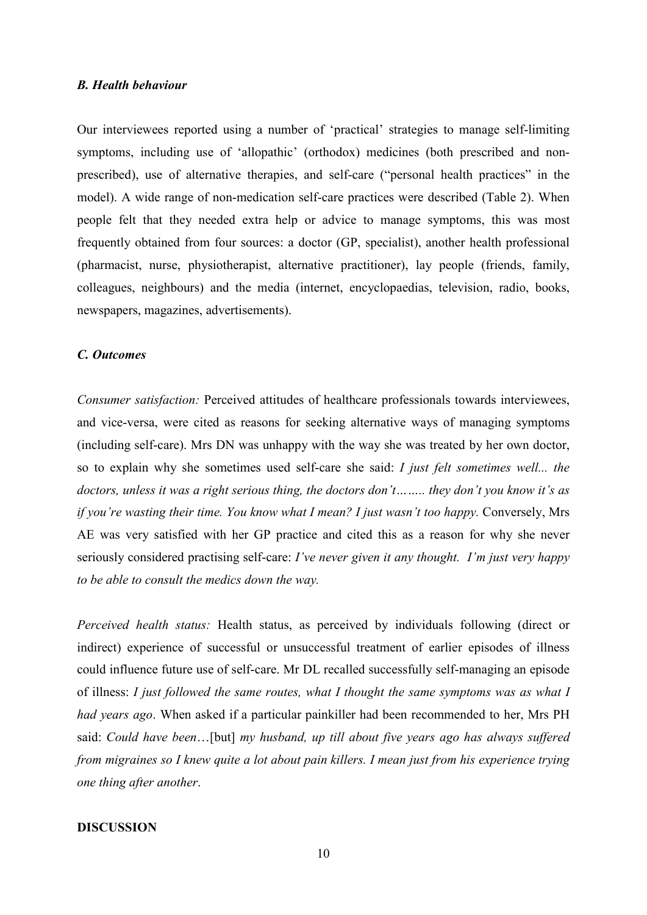#### *B. Health behaviour*

Our interviewees reported using a number of 'practical' strategies to manage self-limiting symptoms, including use of 'allopathic' (orthodox) medicines (both prescribed and nonprescribed), use of alternative therapies, and self-care ("personal health practices" in the model). A wide range of non-medication self-care practices were described (Table 2). When people felt that they needed extra help or advice to manage symptoms, this was most frequently obtained from four sources: a doctor (GP, specialist), another health professional (pharmacist, nurse, physiotherapist, alternative practitioner), lay people (friends, family, colleagues, neighbours) and the media (internet, encyclopaedias, television, radio, books, newspapers, magazines, advertisements).

#### *C. Outcomes*

*Consumer satisfaction:* Perceived attitudes of healthcare professionals towards interviewees, and vice-versa, were cited as reasons for seeking alternative ways of managing symptoms (including self-care). Mrs DN was unhappy with the way she was treated by her own doctor, so to explain why she sometimes used self-care she said: *I just felt sometimes well... the doctors, unless it was a right serious thing, the doctors don't…….. they don't you know it's as if you're wasting their time. You know what I mean? I just wasn't too happy.* Conversely, Mrs AE was very satisfied with her GP practice and cited this as a reason for why she never seriously considered practising self-care: *I've never given it any thought. I'm just very happy to be able to consult the medics down the way.*

*Perceived health status:* Health status, as perceived by individuals following (direct or indirect) experience of successful or unsuccessful treatment of earlier episodes of illness could influence future use of self-care. Mr DL recalled successfully self-managing an episode of illness: *I just followed the same routes, what I thought the same symptoms was as what I had years ago*. When asked if a particular painkiller had been recommended to her, Mrs PH said: *Could have been*…[but] *my husband, up till about five years ago has always suffered from migraines so I knew quite a lot about pain killers. I mean just from his experience trying one thing after another*.

#### **DISCUSSION**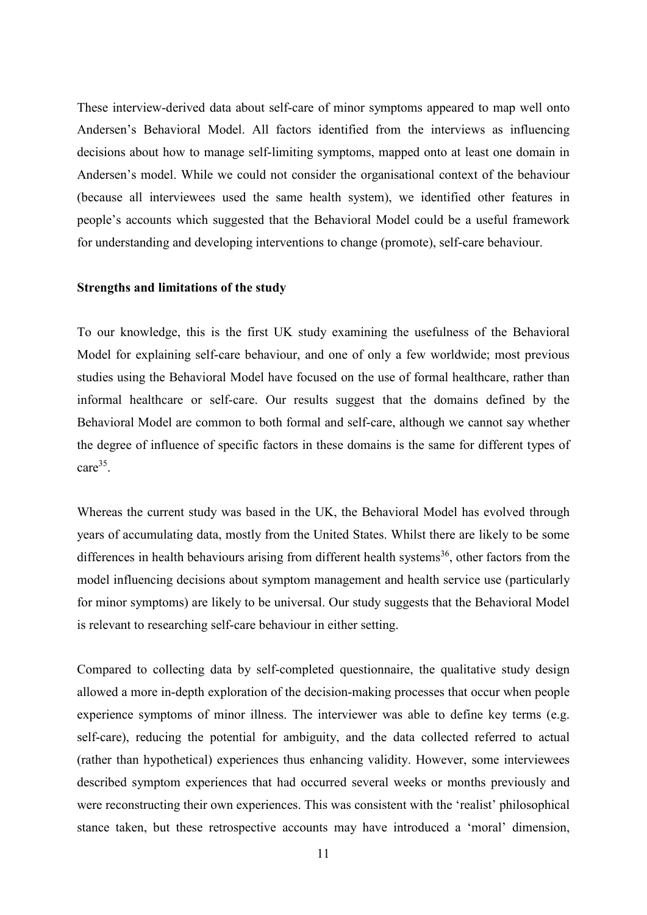These interview-derived data about self-care of minor symptoms appeared to map well onto Andersen's Behavioral Model. All factors identified from the interviews as influencing decisions about how to manage self-limiting symptoms, mapped onto at least one domain in Andersen's model. While we could not consider the organisational context of the behaviour (because all interviewees used the same health system), we identified other features in people's accounts which suggested that the Behavioral Model could be a useful framework for understanding and developing interventions to change (promote), self-care behaviour.

#### **Strengths and limitations of the study**

To our knowledge, this is the first UK study examining the usefulness of the Behavioral Model for explaining self-care behaviour, and one of only a few worldwide; most previous studies using the Behavioral Model have focused on the use of formal healthcare, rather than informal healthcare or self-care. Our results suggest that the domains defined by the Behavioral Model are common to both formal and self-care, although we cannot say whether the degree of influence of specific factors in these domains is the same for different types of care<sup>35</sup>.

Whereas the current study was based in the UK, the Behavioral Model has evolved through years of accumulating data, mostly from the United States. Whilst there are likely to be some differences in health behaviours arising from different health systems<sup>36</sup>, other factors from the model influencing decisions about symptom management and health service use (particularly for minor symptoms) are likely to be universal. Our study suggests that the Behavioral Model is relevant to researching self-care behaviour in either setting.

Compared to collecting data by self-completed questionnaire, the qualitative study design allowed a more in-depth exploration of the decision-making processes that occur when people experience symptoms of minor illness. The interviewer was able to define key terms (e.g. self-care), reducing the potential for ambiguity, and the data collected referred to actual (rather than hypothetical) experiences thus enhancing validity. However, some interviewees described symptom experiences that had occurred several weeks or months previously and were reconstructing their own experiences. This was consistent with the 'realist' philosophical stance taken, but these retrospective accounts may have introduced a 'moral' dimension,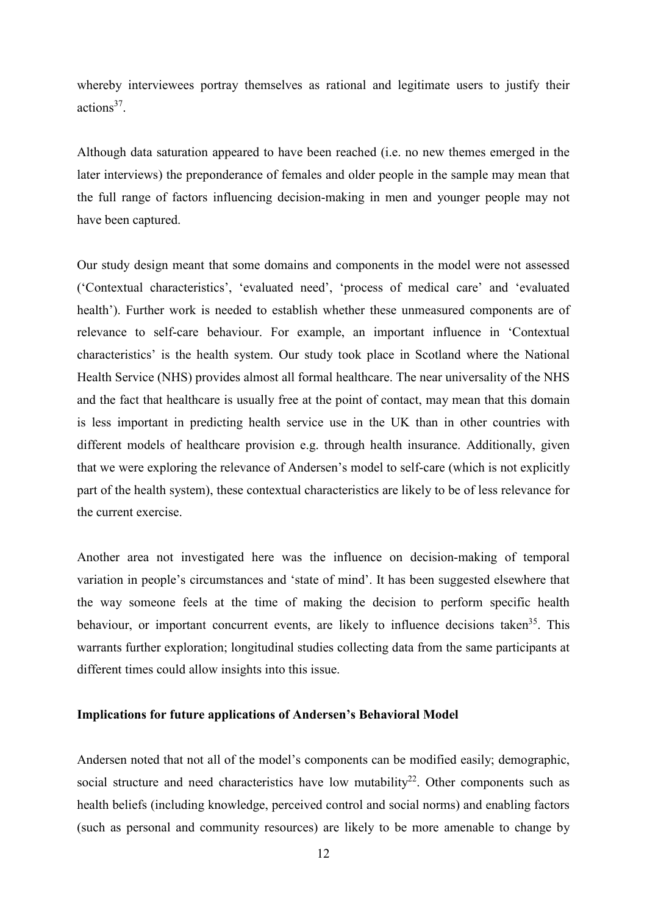whereby interviewees portray themselves as rational and legitimate users to justify their actions37.

Although data saturation appeared to have been reached (i.e. no new themes emerged in the later interviews) the preponderance of females and older people in the sample may mean that the full range of factors influencing decision-making in men and younger people may not have been captured.

Our study design meant that some domains and components in the model were not assessed ('Contextual characteristics', 'evaluated need', 'process of medical care' and 'evaluated health'). Further work is needed to establish whether these unmeasured components are of relevance to self-care behaviour. For example, an important influence in 'Contextual characteristics' is the health system. Our study took place in Scotland where the National Health Service (NHS) provides almost all formal healthcare. The near universality of the NHS and the fact that healthcare is usually free at the point of contact, may mean that this domain is less important in predicting health service use in the UK than in other countries with different models of healthcare provision e.g. through health insurance. Additionally, given that we were exploring the relevance of Andersen's model to self-care (which is not explicitly part of the health system), these contextual characteristics are likely to be of less relevance for the current exercise.

Another area not investigated here was the influence on decision-making of temporal variation in people's circumstances and 'state of mind'. It has been suggested elsewhere that the way someone feels at the time of making the decision to perform specific health behaviour, or important concurrent events, are likely to influence decisions taken<sup>35</sup>. This warrants further exploration; longitudinal studies collecting data from the same participants at different times could allow insights into this issue.

#### **Implications for future applications of Andersen's Behavioral Model**

Andersen noted that not all of the model's components can be modified easily; demographic, social structure and need characteristics have low mutability<sup>22</sup>. Other components such as health beliefs (including knowledge, perceived control and social norms) and enabling factors (such as personal and community resources) are likely to be more amenable to change by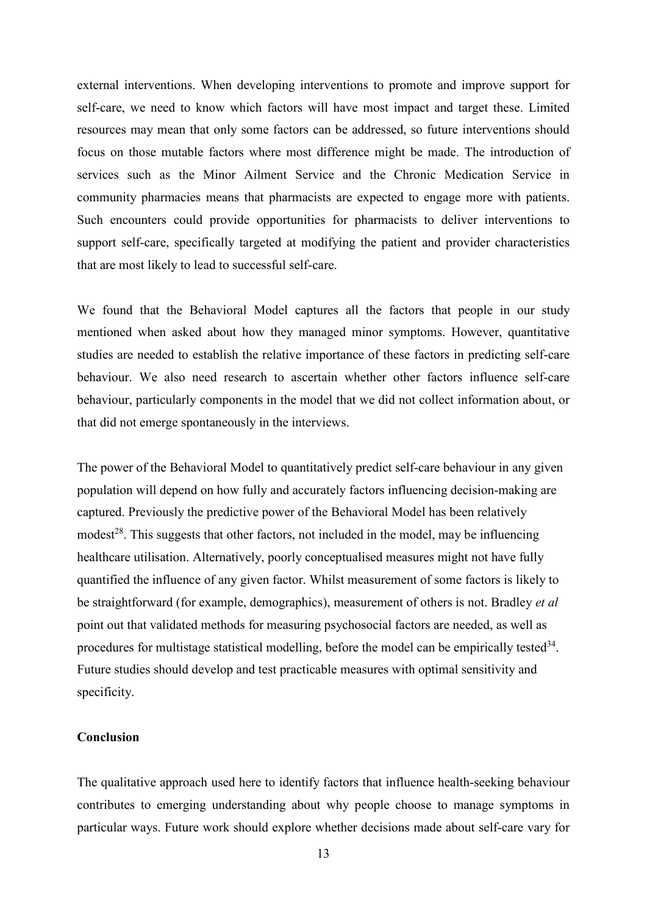external interventions. When developing interventions to promote and improve support for self-care, we need to know which factors will have most impact and target these. Limited resources may mean that only some factors can be addressed, so future interventions should focus on those mutable factors where most difference might be made. The introduction of services such as the Minor Ailment Service and the Chronic Medication Service in community pharmacies means that pharmacists are expected to engage more with patients. Such encounters could provide opportunities for pharmacists to deliver interventions to support self-care, specifically targeted at modifying the patient and provider characteristics that are most likely to lead to successful self-care.

We found that the Behavioral Model captures all the factors that people in our study mentioned when asked about how they managed minor symptoms. However, quantitative studies are needed to establish the relative importance of these factors in predicting self-care behaviour. We also need research to ascertain whether other factors influence self-care behaviour, particularly components in the model that we did not collect information about, or that did not emerge spontaneously in the interviews.

The power of the Behavioral Model to quantitatively predict self-care behaviour in any given population will depend on how fully and accurately factors influencing decision-making are captured. Previously the predictive power of the Behavioral Model has been relatively modest<sup>28</sup>. This suggests that other factors, not included in the model, may be influencing healthcare utilisation. Alternatively, poorly conceptualised measures might not have fully quantified the influence of any given factor. Whilst measurement of some factors is likely to be straightforward (for example, demographics), measurement of others is not. Bradley *et al* point out that validated methods for measuring psychosocial factors are needed, as well as procedures for multistage statistical modelling, before the model can be empirically tested $34$ . Future studies should develop and test practicable measures with optimal sensitivity and specificity.

#### **Conclusion**

The qualitative approach used here to identify factors that influence health-seeking behaviour contributes to emerging understanding about why people choose to manage symptoms in particular ways. Future work should explore whether decisions made about self-care vary for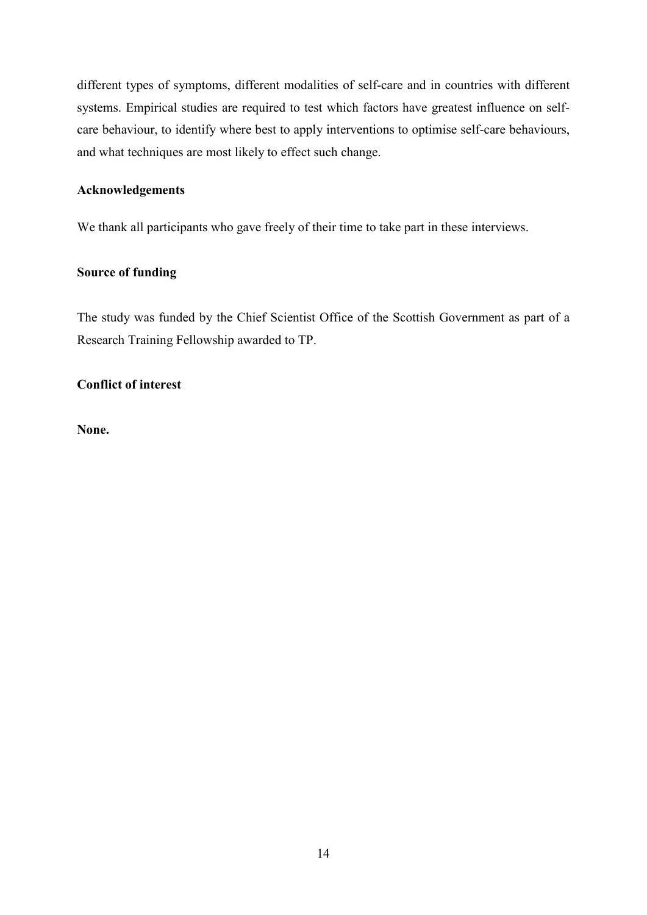different types of symptoms, different modalities of self-care and in countries with different systems. Empirical studies are required to test which factors have greatest influence on selfcare behaviour, to identify where best to apply interventions to optimise self-care behaviours, and what techniques are most likely to effect such change.

## **Acknowledgements**

We thank all participants who gave freely of their time to take part in these interviews.

## **Source of funding**

The study was funded by the Chief Scientist Office of the Scottish Government as part of a Research Training Fellowship awarded to TP.

## **Conflict of interest**

**None.**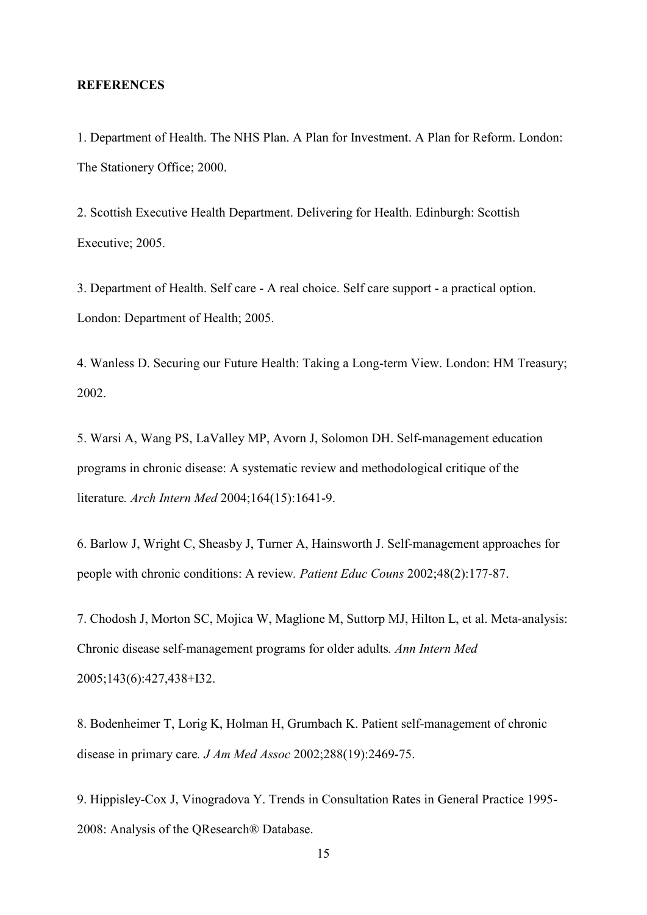#### **REFERENCES**

1. Department of Health. The NHS Plan. A Plan for Investment. A Plan for Reform. London: The Stationery Office; 2000.

2. Scottish Executive Health Department. Delivering for Health. Edinburgh: Scottish Executive; 2005.

3. Department of Health. Self care - A real choice. Self care support - a practical option. London: Department of Health; 2005.

4. Wanless D. Securing our Future Health: Taking a Long-term View. London: HM Treasury; 2002.

5. Warsi A, Wang PS, LaValley MP, Avorn J, Solomon DH. Self-management education programs in chronic disease: A systematic review and methodological critique of the literature*. Arch Intern Med* 2004;164(15):1641-9.

6. Barlow J, Wright C, Sheasby J, Turner A, Hainsworth J. Self-management approaches for people with chronic conditions: A review*. Patient Educ Couns* 2002;48(2):177-87.

7. Chodosh J, Morton SC, Mojica W, Maglione M, Suttorp MJ, Hilton L, et al. Meta-analysis: Chronic disease self-management programs for older adults*. Ann Intern Med* 2005;143(6):427,438+I32.

8. Bodenheimer T, Lorig K, Holman H, Grumbach K. Patient self-management of chronic disease in primary care*. J Am Med Assoc* 2002;288(19):2469-75.

9. Hippisley-Cox J, Vinogradova Y. Trends in Consultation Rates in General Practice 1995- 2008: Analysis of the QResearch® Database.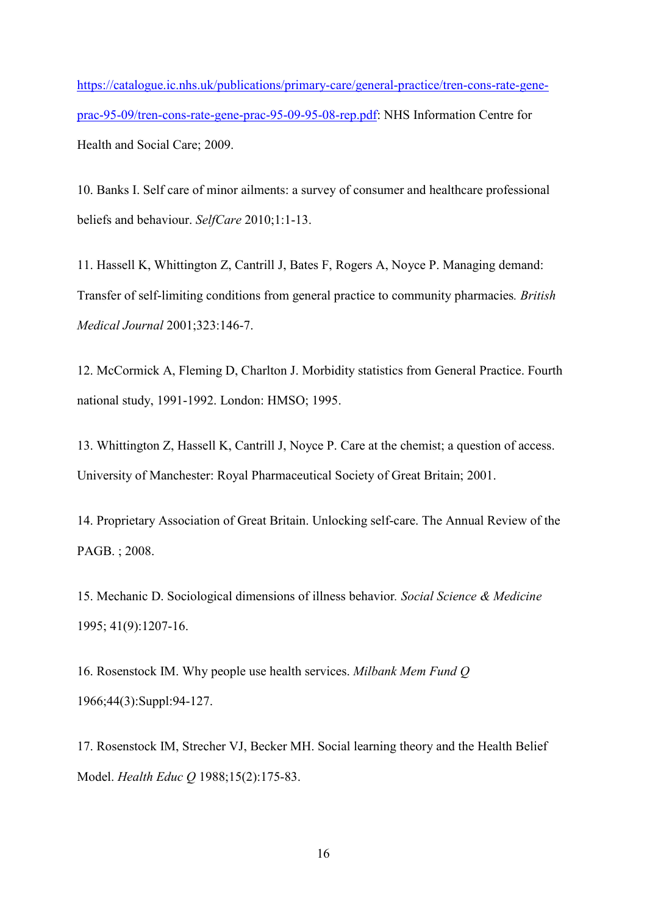[https://catalogue.ic.nhs.uk/publications/primary-care/general-practice/tren-cons-rate-gene](https://catalogue.ic.nhs.uk/publications/primary-care/general-practice/tren-cons-rate-gene-prac-95-09/tren-cons-rate-gene-prac-95-09-95-08-rep.pdf)[prac-95-09/tren-cons-rate-gene-prac-95-09-95-08-rep.pdf:](https://catalogue.ic.nhs.uk/publications/primary-care/general-practice/tren-cons-rate-gene-prac-95-09/tren-cons-rate-gene-prac-95-09-95-08-rep.pdf) NHS Information Centre for Health and Social Care; 2009.

10. Banks I. Self care of minor ailments: a survey of consumer and healthcare professional beliefs and behaviour. *SelfCare* 2010;1:1-13.

11. Hassell K, Whittington Z, Cantrill J, Bates F, Rogers A, Noyce P. Managing demand: Transfer of self-limiting conditions from general practice to community pharmacies*. British Medical Journal* 2001;323:146-7.

12. McCormick A, Fleming D, Charlton J. Morbidity statistics from General Practice. Fourth national study, 1991-1992. London: HMSO; 1995.

13. Whittington Z, Hassell K, Cantrill J, Noyce P. Care at the chemist; a question of access. University of Manchester: Royal Pharmaceutical Society of Great Britain; 2001.

14. Proprietary Association of Great Britain. Unlocking self-care. The Annual Review of the PAGB. ; 2008.

15. Mechanic D. Sociological dimensions of illness behavior*. Social Science & Medicine* 1995; 41(9):1207-16.

16. Rosenstock IM. Why people use health services. *Milbank Mem Fund Q* 1966;44(3):Suppl:94-127.

17. Rosenstock IM, Strecher VJ, Becker MH. Social learning theory and the Health Belief Model. *Health Educ Q* 1988;15(2):175-83.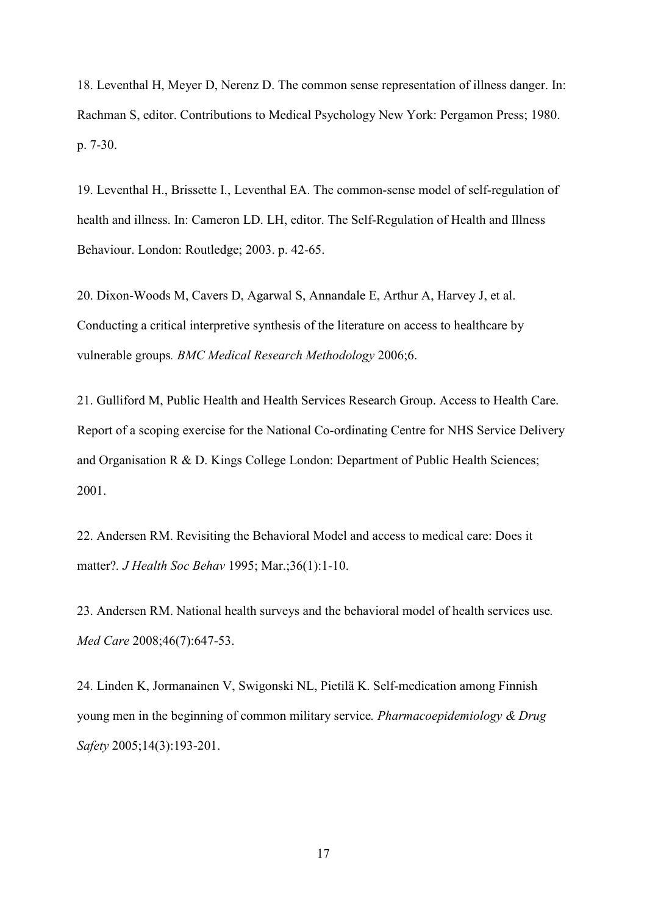18. Leventhal H, Meyer D, Nerenz D. The common sense representation of illness danger. In: Rachman S, editor. Contributions to Medical Psychology New York: Pergamon Press; 1980. p. 7-30.

19. Leventhal H., Brissette I., Leventhal EA. The common-sense model of self-regulation of health and illness. In: Cameron LD. LH, editor. The Self-Regulation of Health and Illness Behaviour. London: Routledge; 2003. p. 42-65.

20. Dixon-Woods M, Cavers D, Agarwal S, Annandale E, Arthur A, Harvey J, et al. Conducting a critical interpretive synthesis of the literature on access to healthcare by vulnerable groups*. BMC Medical Research Methodology* 2006;6.

21. Gulliford M, Public Health and Health Services Research Group. Access to Health Care. Report of a scoping exercise for the National Co-ordinating Centre for NHS Service Delivery and Organisation R & D. Kings College London: Department of Public Health Sciences; 2001.

22. Andersen RM. Revisiting the Behavioral Model and access to medical care: Does it matter?*. J Health Soc Behav* 1995; Mar.;36(1):1-10.

23. Andersen RM. National health surveys and the behavioral model of health services use*. Med Care* 2008;46(7):647-53.

24. Linden K, Jormanainen V, Swigonski NL, Pietilä K. Self-medication among Finnish young men in the beginning of common military service*. Pharmacoepidemiology & Drug Safety* 2005;14(3):193-201.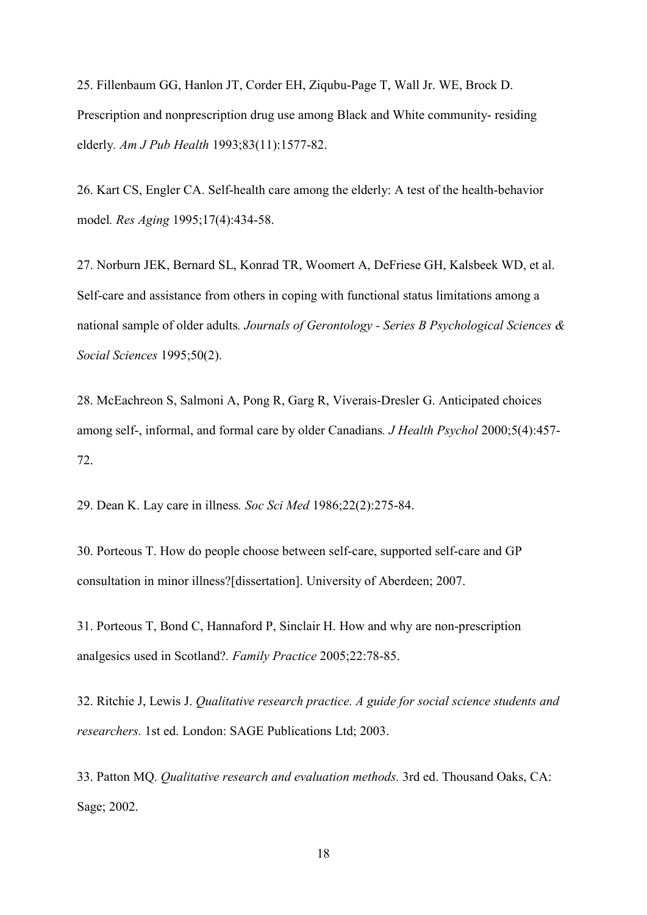25. Fillenbaum GG, Hanlon JT, Corder EH, Ziqubu-Page T, Wall Jr. WE, Brock D. Prescription and nonprescription drug use among Black and White community- residing elderly*. Am J Pub Health* 1993;83(11):1577-82.

26. Kart CS, Engler CA. Self-health care among the elderly: A test of the health-behavior model*. Res Aging* 1995;17(4):434-58.

27. Norburn JEK, Bernard SL, Konrad TR, Woomert A, DeFriese GH, Kalsbeek WD, et al. Self-care and assistance from others in coping with functional status limitations among a national sample of older adults*. Journals of Gerontology - Series B Psychological Sciences & Social Sciences* 1995;50(2).

28. McEachreon S, Salmoni A, Pong R, Garg R, Viverais-Dresler G. Anticipated choices among self-, informal, and formal care by older Canadians*. J Health Psychol* 2000;5(4):457- 72.

29. Dean K. Lay care in illness*. Soc Sci Med* 1986;22(2):275-84.

30. Porteous T. How do people choose between self-care, supported self-care and GP consultation in minor illness?[dissertation]. University of Aberdeen; 2007.

31. Porteous T, Bond C, Hannaford P, Sinclair H. How and why are non-prescription analgesics used in Scotland?*. Family Practice* 2005;22:78-85.

32. Ritchie J, Lewis J. *Qualitative research practice. A guide for social science students and researchers.* 1st ed. London: SAGE Publications Ltd; 2003.

33. Patton MQ. *Qualitative research and evaluation methods.* 3rd ed. Thousand Oaks, CA: Sage; 2002.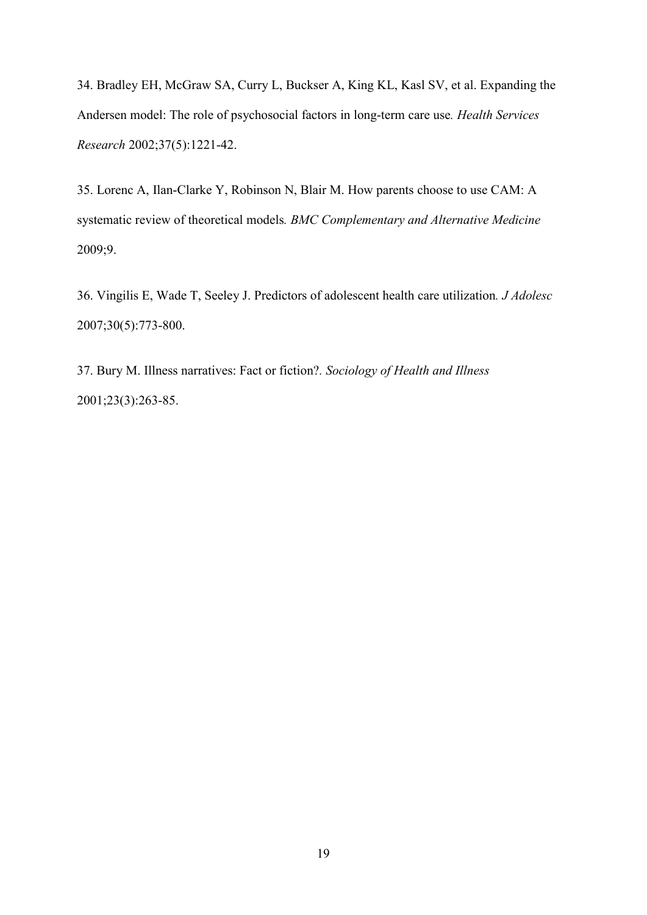34. Bradley EH, McGraw SA, Curry L, Buckser A, King KL, Kasl SV, et al. Expanding the Andersen model: The role of psychosocial factors in long-term care use*. Health Services Research* 2002;37(5):1221-42.

35. Lorenc A, Ilan-Clarke Y, Robinson N, Blair M. How parents choose to use CAM: A systematic review of theoretical models*. BMC Complementary and Alternative Medicine* 2009;9.

36. Vingilis E, Wade T, Seeley J. Predictors of adolescent health care utilization*. J Adolesc* 2007;30(5):773-800.

37. Bury M. Illness narratives: Fact or fiction?*. Sociology of Health and Illness* 2001;23(3):263-85.

19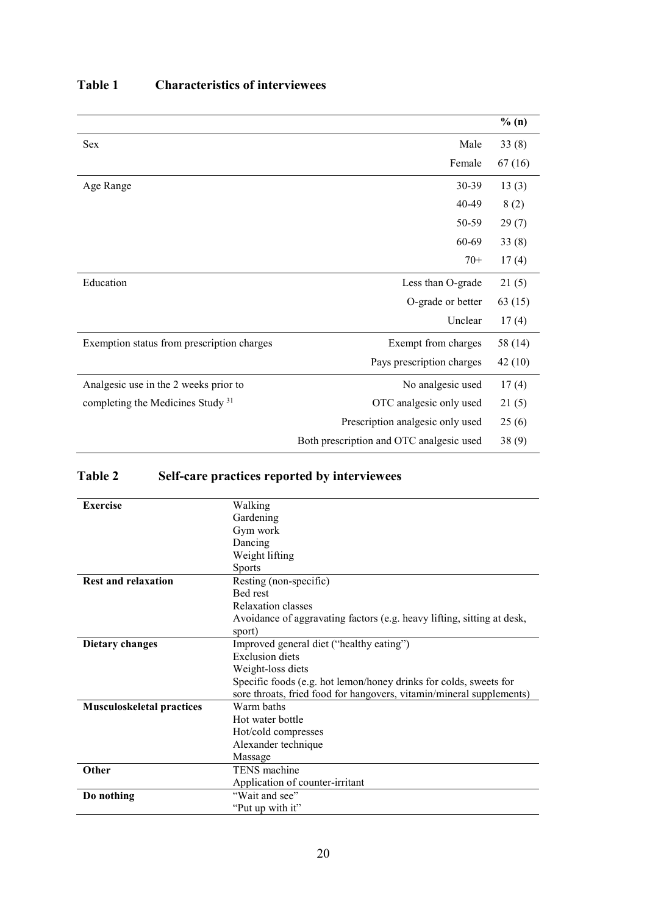|                                              |                                          | % (n)   |
|----------------------------------------------|------------------------------------------|---------|
| <b>Sex</b>                                   | Male                                     | 33(8)   |
|                                              | Female                                   | 67(16)  |
| Age Range                                    | 30-39                                    | 13(3)   |
|                                              | 40-49                                    | 8(2)    |
|                                              | 50-59                                    | 29(7)   |
|                                              | 60-69                                    | 33(8)   |
|                                              | $70+$                                    | 17(4)   |
| Education                                    | Less than O-grade                        | 21(5)   |
|                                              | O-grade or better                        | 63(15)  |
|                                              | Unclear                                  | 17(4)   |
| Exemption status from prescription charges   | Exempt from charges                      | 58 (14) |
|                                              | Pays prescription charges                | 42(10)  |
| Analgesic use in the 2 weeks prior to        | No analgesic used                        | 17(4)   |
| completing the Medicines Study <sup>31</sup> | OTC analgesic only used                  | 21(5)   |
|                                              | Prescription analgesic only used         | 25(6)   |
|                                              | Both prescription and OTC analgesic used | 38(9)   |

## **Table 1 Characteristics of interviewees**

# **Table 2 Self-care practices reported by interviewees**

| <b>Exercise</b>                  | Walking                                                                |
|----------------------------------|------------------------------------------------------------------------|
|                                  | Gardening                                                              |
|                                  | Gym work                                                               |
|                                  | Dancing                                                                |
|                                  | Weight lifting                                                         |
|                                  | <b>Sports</b>                                                          |
| <b>Rest and relaxation</b>       | Resting (non-specific)                                                 |
|                                  | Bed rest                                                               |
|                                  | Relaxation classes                                                     |
|                                  | Avoidance of aggravating factors (e.g. heavy lifting, sitting at desk, |
|                                  | sport)                                                                 |
| <b>Dietary changes</b>           | Improved general diet ("healthy eating")                               |
|                                  | <b>Exclusion</b> diets                                                 |
|                                  | Weight-loss diets                                                      |
|                                  | Specific foods (e.g. hot lemon/honey drinks for colds, sweets for      |
|                                  | sore throats, fried food for hangovers, vitamin/mineral supplements)   |
| <b>Musculoskeletal practices</b> | Warm baths                                                             |
|                                  | Hot water bottle                                                       |
|                                  | Hot/cold compresses                                                    |
|                                  | Alexander technique                                                    |
|                                  | Massage                                                                |
| Other                            | TENS machine                                                           |
|                                  | Application of counter-irritant                                        |
| Do nothing                       | "Wait and see"                                                         |
|                                  | "Put up with it"                                                       |